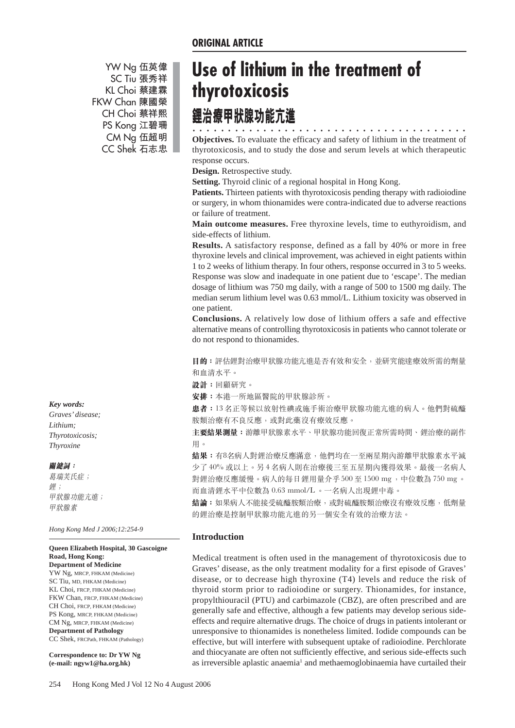YW Ng 伍英偉 SC Tiu 張秀祥 KL Choi 蔡建霖 FKW Chan 陳國榮 CH Choi 蔡祥熙 PS Kong 江碧珊 CM Ng 伍超明 CC Shek 石志忠

# *Key words:*

*Graves' disease; Lithium; Thyrotoxicosis; Thyroxine*

#### 關鍵詞:

葛瑞芙氏症; 鉀; 甲狀腺功能亢進; 甲狀腺素

*Hong Kong Med J 2006;12:254-9*

#### **Queen Elizabeth Hospital, 30 Gascoigne Road, Hong Kong: Department of Medicine**

YW Ng, MRCP, FHKAM (Medicine) SC Tiu, MD, FHKAM (Medicine) KL Choi, FRCP, FHKAM (Medicine) FKW Chan, FRCP, FHKAM (Medicine) CH Choi, FRCP, FHKAM (Medicine) PS Kong, MRCP, FHKAM (Medicine) CM Ng, MRCP, FHKAM (Medicine) **Department of Pathology** CC Shek, FRCPath, FHKAM (Pathology)

**Correspondence to: Dr YW Ng (e-mail: ngyw1@ha.org.hk)**

# **Use of lithium in the treatment of thyrotoxicosis**

# 鋰治療甲狀腺功能亢進

○○○ ○○○○○○○○○○○○○○○○○○○○○○○○○○○○○○○○○○○○ **Objectives.** To evaluate the efficacy and safety of lithium in the treatment of thyrotoxicosis, and to study the dose and serum levels at which therapeutic response occurs.

**Design.** Retrospective study.

**Setting.** Thyroid clinic of a regional hospital in Hong Kong.

**Patients.** Thirteen patients with thyrotoxicosis pending therapy with radioiodine or surgery, in whom thionamides were contra-indicated due to adverse reactions or failure of treatment.

**Main outcome measures.** Free thyroxine levels, time to euthyroidism, and side-effects of lithium.

**Results.** A satisfactory response, defined as a fall by 40% or more in free thyroxine levels and clinical improvement, was achieved in eight patients within 1 to 2 weeks of lithium therapy. In four others, response occurred in 3 to 5 weeks. Response was slow and inadequate in one patient due to 'escape'. The median dosage of lithium was 750 mg daily, with a range of 500 to 1500 mg daily. The median serum lithium level was 0.63 mmol/L. Lithium toxicity was observed in one patient.

**Conclusions.** A relatively low dose of lithium offers a safe and effective alternative means of controlling thyrotoxicosis in patients who cannot tolerate or do not respond to thionamides.

目的: 評估鋰對治療甲狀腺功能亢進是否有效和安全, 並研究能達療效所需的劑量 和血清水平。

設計:回顧研究。

安排:本港一所地區醫院的甲狀腺診所。

患者:13名正等候以放射性碘或施手術治療甲狀腺功能亢進的病人。他們對硫醯 胺類治療有不良反應,或對此藥沒有療效反應。

主**要結果測量:**游離甲狀腺素水平、甲狀腺功能回復正常所需時間、鋰治療的副作 用。

**結果:**有8名病人對鋰治療反應滿意,他們均在一至兩星期內游離甲狀腺素水平減 少了40%或以上。另4名病人則在治療後三至五星期內獲得效果。最後一名病人 對鋰治療反應緩慢。病人的每日鋰用量介乎 500至 1500 mg, 中位數為 750 mg。 而血清鋰水平中位數為 0.63 mmol/L。一名病人出現鋰中毒。

**結論:**如果病人不能接受硫醯胺類治療,或對硫醯胺類治療沒有療效反應,低劑量 的鋰治療是控制甲狀腺功能亢進的另一個安全有效的治療方法。

## **Introduction**

Medical treatment is often used in the management of thyrotoxicosis due to Graves' disease, as the only treatment modality for a first episode of Graves' disease, or to decrease high thyroxine (T4) levels and reduce the risk of thyroid storm prior to radioiodine or surgery. Thionamides, for instance, propylthiouracil (PTU) and carbimazole (CBZ), are often prescribed and are generally safe and effective, although a few patients may develop serious sideeffects and require alternative drugs. The choice of drugs in patients intolerant or unresponsive to thionamides is nonetheless limited. Iodide compounds can be effective, but will interfere with subsequent uptake of radioiodine. Perchlorate and thiocyanate are often not sufficiently effective, and serious side-effects such as irreversible aplastic anaemia<sup>1</sup> and methaemoglobinaemia have curtailed their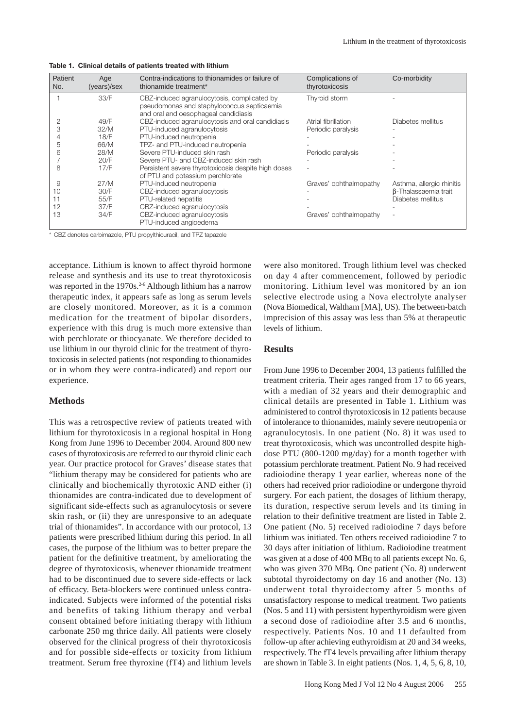| Patient<br>No. | Age<br>(years)/sex | Contra-indications to thionamides or failure of<br>thionamide treatment*                                                          | Complications of<br>thyrotoxicosis | Co-morbidity                |
|----------------|--------------------|-----------------------------------------------------------------------------------------------------------------------------------|------------------------------------|-----------------------------|
|                | 33/F               | CBZ-induced agranulocytosis, complicated by<br>pseudomonas and staphylococcus septicaemia<br>and oral and oesophageal candidiasis | Thyroid storm                      |                             |
|                | 49/F               | CBZ-induced agranulocytosis and oral candidiasis                                                                                  | Atrial fibrillation                | Diabetes mellitus           |
| 3              | 32/M               | PTU-induced agranulocytosis                                                                                                       | Periodic paralysis                 |                             |
|                | 18/F               | PTU-induced neutropenia                                                                                                           |                                    |                             |
| 5              | 66/M               | TPZ- and PTU-induced neutropenia                                                                                                  |                                    |                             |
| 6              | 28/M               | Severe PTU-induced skin rash                                                                                                      | Periodic paralysis                 |                             |
|                | 20/F               | Severe PTU- and CBZ-induced skin rash                                                                                             |                                    |                             |
| 8              | 17/F               | Persistent severe thyrotoxicosis despite high doses<br>of PTU and potassium perchlorate                                           |                                    |                             |
| 9              | 27/M               | PTU-induced neutropenia                                                                                                           | Graves' ophthalmopathy             | Asthma, allergic rhinitis   |
| 10             | 30/F               | CBZ-induced agranulocytosis                                                                                                       |                                    | <b>B-Thalassaemia trait</b> |
| 11             | 55/F               | PTU-related hepatitis                                                                                                             |                                    | Diabetes mellitus           |
| 12             | 37/F               | CBZ-induced agranulocytosis                                                                                                       |                                    |                             |
| 13             | 34/F               | CBZ-induced agranulocytosis<br>PTU-induced angioedema                                                                             | Graves' ophthalmopathy             | ٠                           |

**Table 1. Clinical details of patients treated with lithium**

CBZ denotes carbimazole, PTU propylthiouracil, and TPZ tapazole

acceptance. Lithium is known to affect thyroid hormone release and synthesis and its use to treat thyrotoxicosis was reported in the 1970s.<sup>2-6</sup> Although lithium has a narrow therapeutic index, it appears safe as long as serum levels are closely monitored. Moreover, as it is a common medication for the treatment of bipolar disorders, experience with this drug is much more extensive than with perchlorate or thiocyanate. We therefore decided to use lithium in our thyroid clinic for the treatment of thyrotoxicosis in selected patients (not responding to thionamides or in whom they were contra-indicated) and report our experience.

### **Methods**

This was a retrospective review of patients treated with lithium for thyrotoxicosis in a regional hospital in Hong Kong from June 1996 to December 2004. Around 800 new cases of thyrotoxicosis are referred to our thyroid clinic each year. Our practice protocol for Graves' disease states that "lithium therapy may be considered for patients who are clinically and biochemically thyrotoxic AND either (i) thionamides are contra-indicated due to development of significant side-effects such as agranulocytosis or severe skin rash, or (ii) they are unresponsive to an adequate trial of thionamides". In accordance with our protocol, 13 patients were prescribed lithium during this period. In all cases, the purpose of the lithium was to better prepare the patient for the definitive treatment, by ameliorating the degree of thyrotoxicosis, whenever thionamide treatment had to be discontinued due to severe side-effects or lack of efficacy. Beta-blockers were continued unless contraindicated. Subjects were informed of the potential risks and benefits of taking lithium therapy and verbal consent obtained before initiating therapy with lithium carbonate 250 mg thrice daily. All patients were closely observed for the clinical progress of their thyrotoxicosis and for possible side-effects or toxicity from lithium treatment. Serum free thyroxine (fT4) and lithium levels were also monitored. Trough lithium level was checked on day 4 after commencement, followed by periodic monitoring. Lithium level was monitored by an ion selective electrode using a Nova electrolyte analyser (Nova Biomedical, Waltham [MA], US). The between-batch imprecision of this assay was less than 5% at therapeutic levels of lithium.

#### **Results**

From June 1996 to December 2004, 13 patients fulfilled the treatment criteria. Their ages ranged from 17 to 66 years, with a median of 32 years and their demographic and clinical details are presented in Table 1. Lithium was administered to control thyrotoxicosis in 12 patients because of intolerance to thionamides, mainly severe neutropenia or agranulocytosis. In one patient (No. 8) it was used to treat thyrotoxicosis, which was uncontrolled despite highdose PTU (800-1200 mg/day) for a month together with potassium perchlorate treatment. Patient No. 9 had received radioiodine therapy 1 year earlier, whereas none of the others had received prior radioiodine or undergone thyroid surgery. For each patient, the dosages of lithium therapy, its duration, respective serum levels and its timing in relation to their definitive treatment are listed in Table 2. One patient (No. 5) received radioiodine 7 days before lithium was initiated. Ten others received radioiodine 7 to 30 days after initiation of lithium. Radioiodine treatment was given at a dose of 400 MBq to all patients except No. 6, who was given 370 MBq. One patient (No. 8) underwent subtotal thyroidectomy on day 16 and another (No. 13) underwent total thyroidectomy after 5 months of unsatisfactory response to medical treatment. Two patients (Nos. 5 and 11) with persistent hyperthyroidism were given a second dose of radioiodine after 3.5 and 6 months, respectively. Patients Nos. 10 and 11 defaulted from follow-up after achieving euthyroidism at 20 and 34 weeks, respectively. The fT4 levels prevailing after lithium therapy are shown in Table 3. In eight patients (Nos. 1, 4, 5, 6, 8, 10,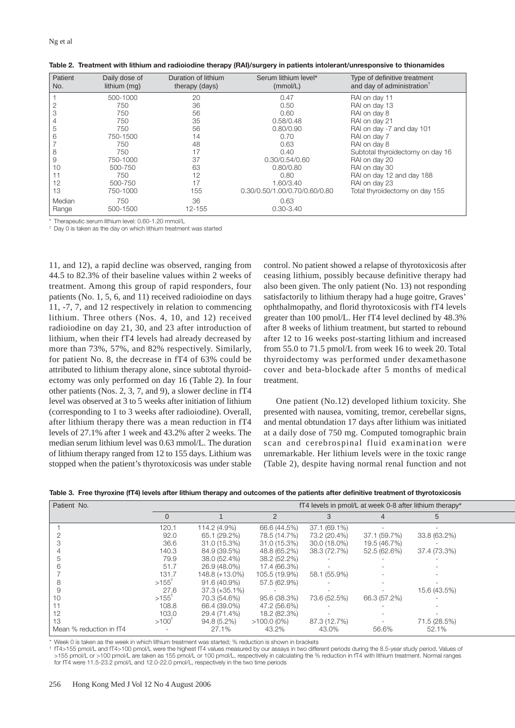| Patient<br>No. | Daily dose of<br>lithium (mg) | Duration of lithium<br>therapy (days) | Serum lithium level*<br>(mmol/L) | Type of definitive treatment<br>and day of administration <sup>T</sup> |
|----------------|-------------------------------|---------------------------------------|----------------------------------|------------------------------------------------------------------------|
|                | 500-1000                      | 20                                    | 0.47                             | RAI on day 11                                                          |
| 2              | 750                           | 36                                    | 0.50                             | RAI on day 13                                                          |
| 3              | 750                           | 56                                    | 0.60                             | RAI on day 8                                                           |
|                | 750                           | 35                                    | 0.58/0.48                        | RAI on day 21                                                          |
| 5              | 750                           | 56                                    | 0.80/0.90                        | RAI on day -7 and day 101                                              |
| 6              | 750-1500                      | 14                                    | 0.70                             | RAI on day 7                                                           |
|                | 750                           | 48                                    | 0.63                             | RAI on day 8                                                           |
| 8              | 750                           | 17                                    | 0.40                             | Subtotal thyroidectomy on day 16                                       |
| 9              | 750-1000                      | 37                                    | 0.30/0.54/0.60                   | RAI on day 20                                                          |
| 10             | 500-750                       | 63                                    | 0.80/0.80                        | RAI on day 30                                                          |
| 11             | 750                           | 12                                    | 0.80                             | RAI on day 12 and day 188                                              |
| 12             | 500-750                       | 17                                    | 1.60/3.40                        | RAI on day 23                                                          |
| 13             | 750-1000                      | 155                                   | 0.30/0.50/1.00/0.70/0.60/0.80    | Total thyroidectomy on day 155                                         |
| Median         | 750                           | 36                                    | 0.63                             |                                                                        |
| Range          | 500-1500                      | 12-155                                | $0.30 - 3.40$                    |                                                                        |

**Table 2. Treatment with lithium and radioiodine therapy (RAI)/surgery in patients intolerant/unresponsive to thionamides**

\* Therapeutic serum lithium level: 0.60-1.20 mmol/L

† Day 0 is taken as the day on which lithium treatment was started

11, and 12), a rapid decline was observed, ranging from 44.5 to 82.3% of their baseline values within 2 weeks of treatment. Among this group of rapid responders, four patients (No. 1, 5, 6, and 11) received radioiodine on days 11, -7, 7, and 12 respectively in relation to commencing lithium. Three others (Nos. 4, 10, and 12) received radioiodine on day 21, 30, and 23 after introduction of lithium, when their fT4 levels had already decreased by more than 73%, 57%, and 82% respectively. Similarly, for patient No. 8, the decrease in fT4 of 63% could be attributed to lithium therapy alone, since subtotal thyroidectomy was only performed on day 16 (Table 2). In four other patients (Nos. 2, 3, 7, and 9), a slower decline in fT4 level was observed at 3 to 5 weeks after initiation of lithium (corresponding to 1 to 3 weeks after radioiodine). Overall, after lithium therapy there was a mean reduction in fT4 levels of 27.1% after 1 week and 43.2% after 2 weeks. The median serum lithium level was 0.63 mmol/L. The duration of lithium therapy ranged from 12 to 155 days. Lithium was stopped when the patient's thyrotoxicosis was under stable

control. No patient showed a relapse of thyrotoxicosis after ceasing lithium, possibly because definitive therapy had also been given. The only patient (No. 13) not responding satisfactorily to lithium therapy had a huge goitre, Graves' ophthalmopathy, and florid thyrotoxicosis with fT4 levels greater than 100 pmol/L. Her fT4 level declined by 48.3% after 8 weeks of lithium treatment, but started to rebound after 12 to 16 weeks post-starting lithium and increased from 55.0 to 71.5 pmol/L from week 16 to week 20. Total thyroidectomy was performed under dexamethasone cover and beta-blockade after 5 months of medical treatment.

One patient (No.12) developed lithium toxicity. She presented with nausea, vomiting, tremor, cerebellar signs, and mental obtundation 17 days after lithium was initiated at a daily dose of 750 mg. Computed tomographic brain scan and cerebrospinal fluid examination were unremarkable. Her lithium levels were in the toxic range (Table 2), despite having normal renal function and not

|  |  |  |  |  |  |  | Table 3. Free thyroxine (fT4) levels after lithium therapy and outcomes of the patients after definitive treatment of thyrotoxicosis |  |  |  |  |  |  |  |  |
|--|--|--|--|--|--|--|--------------------------------------------------------------------------------------------------------------------------------------|--|--|--|--|--|--|--|--|
|--|--|--|--|--|--|--|--------------------------------------------------------------------------------------------------------------------------------------|--|--|--|--|--|--|--|--|

| Patient No.             | fT4 levels in pmol/L at week 0-8 after lithium therapy* |                 |               |              |              |              |  |  |
|-------------------------|---------------------------------------------------------|-----------------|---------------|--------------|--------------|--------------|--|--|
|                         | $\Omega$                                                |                 | 2             | 3            | 4            | 5            |  |  |
|                         | 120.1                                                   | 114.2 (4.9%)    | 66.6 (44.5%)  | 37.1 (69.1%) |              |              |  |  |
|                         | 92.0                                                    | 65.1 (29.2%)    | 78.5 (14.7%)  | 73.2 (20.4%) | 37.1 (59.7%) | 33.8 (63.2%) |  |  |
|                         | 36.6                                                    | 31.0 (15.3%)    | 31.0 (15.3%)  | 30.0 (18.0%) | 19.5 (46.7%) |              |  |  |
|                         | 140.3                                                   | 84.9 (39.5%)    | 48.8 (65.2%)  | 38.3 (72.7%) | 52.5 (62.6%) | 37.4 (73.3%) |  |  |
|                         | 79.9                                                    | 38.0 (52.4%)    | 38.2 (52.2%)  |              |              |              |  |  |
| h                       | 51.7                                                    | 26.9 (48.0%)    | 17.4 (66.3%)  |              |              |              |  |  |
|                         | 131.7                                                   | 148.8 (+13.0%)  | 105.5 (19.9%) | 58.1 (55.9%) |              |              |  |  |
| 8                       | $>155^{\circ}$                                          | 91.6 (40.9%)    | 57.5 (62.9%)  |              |              |              |  |  |
|                         | 27.6                                                    | $37.3 (+35.1%)$ |               |              |              | 15.6 (43.5%) |  |  |
|                         | $>155^{\circ}$                                          | 70.3 (54.6%)    | 95.6 (38.3%)  | 73.6 (52.5%) | 66.3 (57.2%) |              |  |  |
|                         | 108.8                                                   | 66.4 (39.0%)    | 47.2 (56.6%)  |              |              |              |  |  |
| 12                      | 103.0                                                   | 29.4 (71.4%)    | 18.2 (82.3%)  |              |              |              |  |  |
| ıз                      | $>100^{1}$                                              | 94.8 (5.2%)     | $>100.0(0\%)$ | 87.3 (12.7%) |              | 71.5 (28.5%) |  |  |
| Mean % reduction in fT4 |                                                         | 27.1%           | 43.2%         | 43.0%        | 56.6%        | 52.1%        |  |  |

\* Week 0 is taken as the week in which lithium treatment was started; % reduction is shown in brackets

† fT4>155 pmol/L and fT4>100 pmol/L were the highest fT4 values measured by our assays in two different periods during the 8.5-year study period. Values of >155 pmol/L or >100 pmol/L are taken as 155 pmol/L or 100 pmol/L, respectively in calculating the % reduction in fT4 with lithium treatment. Normal ranges for fT4 were 11.5-23.2 pmol/L and 12.0-22.0 pmol/L, respectively in the two time periods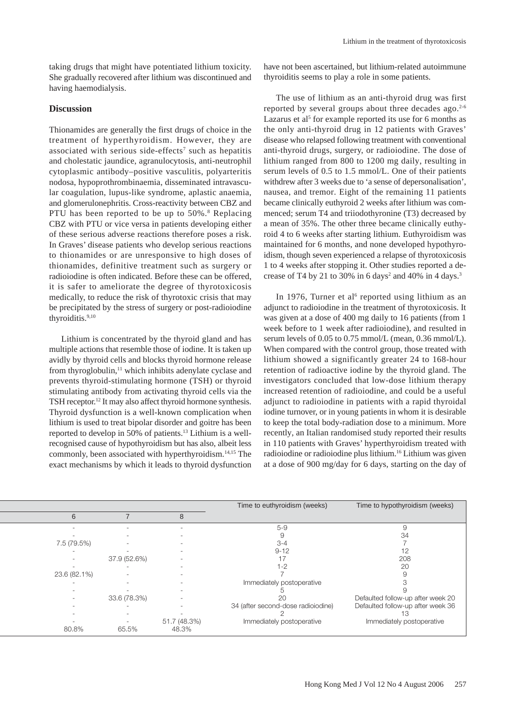taking drugs that might have potentiated lithium toxicity. She gradually recovered after lithium was discontinued and having haemodialysis.

## **Discussion**

Thionamides are generally the first drugs of choice in the treatment of hyperthyroidism. However, they are associated with serious side-effects<sup>7</sup> such as hepatitis and cholestatic jaundice, agranulocytosis, anti-neutrophil cytoplasmic antibody–positive vasculitis, polyarteritis nodosa, hypoprothrombinaemia, disseminated intravascular coagulation, lupus-like syndrome, aplastic anaemia, and glomerulonephritis. Cross-reactivity between CBZ and PTU has been reported to be up to 50%.<sup>8</sup> Replacing CBZ with PTU or vice versa in patients developing either of these serious adverse reactions therefore poses a risk. In Graves' disease patients who develop serious reactions to thionamides or are unresponsive to high doses of thionamides, definitive treatment such as surgery or radioiodine is often indicated. Before these can be offered, it is safer to ameliorate the degree of thyrotoxicosis medically, to reduce the risk of thyrotoxic crisis that may be precipitated by the stress of surgery or post-radioiodine thyroiditis.<sup>9,10</sup>

Lithium is concentrated by the thyroid gland and has multiple actions that resemble those of iodine. It is taken up avidly by thyroid cells and blocks thyroid hormone release from thyroglobulin,<sup>11</sup> which inhibits adenylate cyclase and prevents thyroid-stimulating hormone (TSH) or thyroid stimulating antibody from activating thyroid cells via the TSH receptor.<sup>12</sup> It may also affect thyroid hormone synthesis. Thyroid dysfunction is a well-known complication when lithium is used to treat bipolar disorder and goitre has been reported to develop in 50% of patients.13 Lithium is a wellrecognised cause of hypothyroidism but has also, albeit less commonly, been associated with hyperthyroidism.14,15 The exact mechanisms by which it leads to thyroid dysfunction have not been ascertained, but lithium-related autoimmune thyroiditis seems to play a role in some patients.

The use of lithium as an anti-thyroid drug was first reported by several groups about three decades ago.<sup>2-6</sup> Lazarus et al<sup>5</sup> for example reported its use for 6 months as the only anti-thyroid drug in 12 patients with Graves' disease who relapsed following treatment with conventional anti-thyroid drugs, surgery, or radioiodine. The dose of lithium ranged from 800 to 1200 mg daily, resulting in serum levels of 0.5 to 1.5 mmol/L. One of their patients withdrew after 3 weeks due to 'a sense of depersonalisation', nausea, and tremor. Eight of the remaining 11 patients became clinically euthyroid 2 weeks after lithium was commenced; serum T4 and triiodothyronine (T3) decreased by a mean of 35%. The other three became clinically euthyroid 4 to 6 weeks after starting lithium. Euthyroidism was maintained for 6 months, and none developed hypothyroidism, though seven experienced a relapse of thyrotoxicosis 1 to 4 weeks after stopping it. Other studies reported a decrease of T4 by 21 to 30% in 6 days<sup>2</sup> and 40% in 4 days.<sup>3</sup>

In 1976, Turner et al<sup>6</sup> reported using lithium as an adjunct to radioiodine in the treatment of thyrotoxicosis. It was given at a dose of 400 mg daily to 16 patients (from 1 week before to 1 week after radioiodine), and resulted in serum levels of 0.05 to 0.75 mmol/L (mean, 0.36 mmol/L). When compared with the control group, those treated with lithium showed a significantly greater 24 to 168-hour retention of radioactive iodine by the thyroid gland. The investigators concluded that low-dose lithium therapy increased retention of radioiodine, and could be a useful adjunct to radioiodine in patients with a rapid thyroidal iodine turnover, or in young patients in whom it is desirable to keep the total body-radiation dose to a minimum. More recently, an Italian randomised study reported their results in 110 patients with Graves' hyperthyroidism treated with radioiodine or radioiodine plus lithium.16 Lithium was given at a dose of 900 mg/day for 6 days, starting on the day of

|              |              |              | Time to euthyroidism (weeks)       | Time to hypothyroidism (weeks)    |
|--------------|--------------|--------------|------------------------------------|-----------------------------------|
| 6            |              | 8            |                                    |                                   |
|              | $\sim$       | ۰            | $5-9$                              | 9                                 |
|              |              |              | 9                                  | 34                                |
| 7.5 (79.5%)  |              |              | $3 - 4$                            |                                   |
|              |              |              | $9 - 12$                           | 12                                |
|              | 37.9 (52.6%) |              |                                    | 208                               |
|              |              |              | $1 - 2$                            | 20                                |
| 23.6 (82.1%) |              | ۰            |                                    | Я                                 |
|              |              |              | Immediately postoperative          |                                   |
|              |              |              |                                    |                                   |
|              | 33.6 (78.3%) |              | 20                                 | Defaulted follow-up after week 20 |
|              |              |              | 34 (after second-dose radioiodine) | Defaulted follow-up after week 36 |
|              |              |              |                                    |                                   |
|              |              | 51.7 (48.3%) | Immediately postoperative          | Immediately postoperative         |
| 80.8%        | 65.5%        | 48.3%        |                                    |                                   |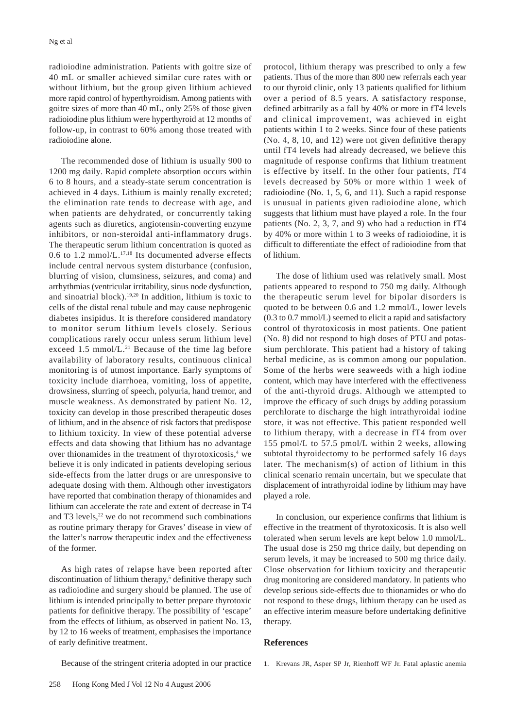radioiodine administration. Patients with goitre size of 40 mL or smaller achieved similar cure rates with or without lithium, but the group given lithium achieved more rapid control of hyperthyroidism. Among patients with goitre sizes of more than 40 mL, only 25% of those given radioiodine plus lithium were hyperthyroid at 12 months of follow-up, in contrast to 60% among those treated with radioiodine alone.

The recommended dose of lithium is usually 900 to 1200 mg daily. Rapid complete absorption occurs within 6 to 8 hours, and a steady-state serum concentration is achieved in 4 days. Lithium is mainly renally excreted; the elimination rate tends to decrease with age, and when patients are dehydrated, or concurrently taking agents such as diuretics, angiotensin-converting enzyme inhibitors, or non-steroidal anti-inflammatory drugs. The therapeutic serum lithium concentration is quoted as 0.6 to 1.2 mmol/L. $^{17,18}$  Its documented adverse effects include central nervous system disturbance (confusion, blurring of vision, clumsiness, seizures, and coma) and arrhythmias (ventricular irritability, sinus node dysfunction, and sinoatrial block).19,20 In addition, lithium is toxic to cells of the distal renal tubule and may cause nephrogenic diabetes insipidus. It is therefore considered mandatory to monitor serum lithium levels closely. Serious complications rarely occur unless serum lithium level exceed  $1.5 \text{ mmol/L}.^{21}$  Because of the time lag before availability of laboratory results, continuous clinical monitoring is of utmost importance. Early symptoms of toxicity include diarrhoea, vomiting, loss of appetite, drowsiness, slurring of speech, polyuria, hand tremor, and muscle weakness. As demonstrated by patient No. 12, toxicity can develop in those prescribed therapeutic doses of lithium, and in the absence of risk factors that predispose to lithium toxicity. In view of these potential adverse effects and data showing that lithium has no advantage over thionamides in the treatment of thyrotoxicosis,<sup>4</sup> we believe it is only indicated in patients developing serious side-effects from the latter drugs or are unresponsive to adequate dosing with them. Although other investigators have reported that combination therapy of thionamides and lithium can accelerate the rate and extent of decrease in T4 and  $T3$  levels,  $22$  we do not recommend such combinations as routine primary therapy for Graves' disease in view of the latter's narrow therapeutic index and the effectiveness of the former.

As high rates of relapse have been reported after discontinuation of lithium therapy,<sup>5</sup> definitive therapy such as radioiodine and surgery should be planned. The use of lithium is intended principally to better prepare thyrotoxic patients for definitive therapy. The possibility of 'escape' from the effects of lithium, as observed in patient No. 13, by 12 to 16 weeks of treatment, emphasises the importance of early definitive treatment.

protocol, lithium therapy was prescribed to only a few patients. Thus of the more than 800 new referrals each year to our thyroid clinic, only 13 patients qualified for lithium over a period of 8.5 years. A satisfactory response, defined arbitrarily as a fall by 40% or more in fT4 levels and clinical improvement, was achieved in eight patients within 1 to 2 weeks. Since four of these patients (No. 4, 8, 10, and 12) were not given definitive therapy until fT4 levels had already decreased, we believe this magnitude of response confirms that lithium treatment is effective by itself. In the other four patients, fT4 levels decreased by 50% or more within 1 week of radioiodine (No. 1, 5, 6, and 11). Such a rapid response is unusual in patients given radioiodine alone, which suggests that lithium must have played a role. In the four patients (No. 2, 3, 7, and 9) who had a reduction in fT4 by 40% or more within 1 to 3 weeks of radioiodine, it is difficult to differentiate the effect of radioiodine from that of lithium.

The dose of lithium used was relatively small. Most patients appeared to respond to 750 mg daily. Although the therapeutic serum level for bipolar disorders is quoted to be between 0.6 and 1.2 mmol/L, lower levels (0.3 to 0.7 mmol/L) seemed to elicit a rapid and satisfactory control of thyrotoxicosis in most patients. One patient (No. 8) did not respond to high doses of PTU and potassium perchlorate. This patient had a history of taking herbal medicine, as is common among our population. Some of the herbs were seaweeds with a high iodine content, which may have interfered with the effectiveness of the anti-thyroid drugs. Although we attempted to improve the efficacy of such drugs by adding potassium perchlorate to discharge the high intrathyroidal iodine store, it was not effective. This patient responded well to lithium therapy, with a decrease in fT4 from over 155 pmol/L to 57.5 pmol/L within 2 weeks, allowing subtotal thyroidectomy to be performed safely 16 days later. The mechanism(s) of action of lithium in this clinical scenario remain uncertain, but we speculate that displacement of intrathyroidal iodine by lithium may have played a role.

In conclusion, our experience confirms that lithium is effective in the treatment of thyrotoxicosis. It is also well tolerated when serum levels are kept below 1.0 mmol/L. The usual dose is 250 mg thrice daily, but depending on serum levels, it may be increased to 500 mg thrice daily. Close observation for lithium toxicity and therapeutic drug monitoring are considered mandatory. In patients who develop serious side-effects due to thionamides or who do not respond to these drugs, lithium therapy can be used as an effective interim measure before undertaking definitive therapy.

#### **References**

- Because of the stringent criteria adopted in our practice
- 1. Krevans JR, Asper SP Jr, Rienhoff WF Jr. Fatal aplastic anemia